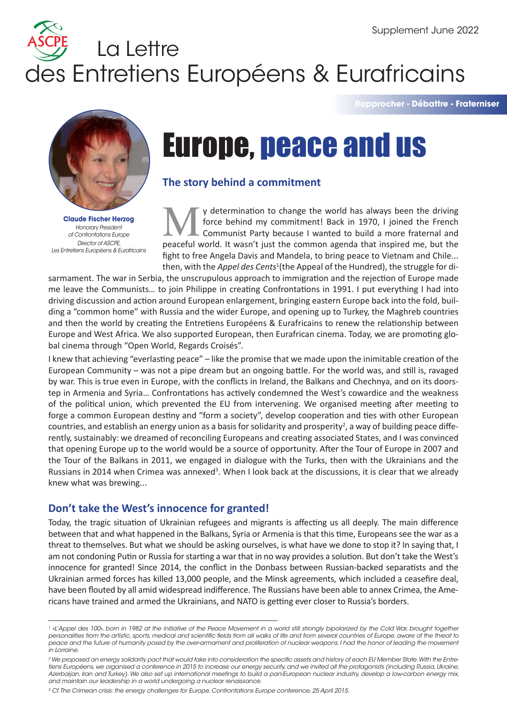# des Entretiens Européens & Eurafricains La Lettre

**Rapprocher - Débattre - Fraterniser**



**Claude Fischer Herzog** *Honorary President of Confrontations Europe Director of ASCPE, Les Entretiens Européens & Eurafricains* 

# Europe, peace and us

## **The story behind a commitment**

y determination to change the world has always been the driving force behind my commitment! Back in 1970, I joined the French Communist Party because I wanted to build a more fraternal and **Peaceful world has always been the driving** force behind my commitment! Back in 1970, I joined the French Communist Party because I wanted to build a more fraternal and peaceful world. It wasn't just the common agenda tha fight to free Angela Davis and Mandela, to bring peace to Vietnam and Chile... then, with the *Appel des Cents<sup>1</sup>* (the Appeal of the Hundred), the struggle for di-

sarmament. The war in Serbia, the unscrupulous approach to immigration and the rejection of Europe made me leave the Communists… to join Philippe in creating Confrontations in 1991. I put everything I had into driving discussion and action around European enlargement, bringing eastern Europe back into the fold, building a "common home" with Russia and the wider Europe, and opening up to Turkey, the Maghreb countries and then the world by creating the Entretiens Européens & Eurafricains to renew the relationship between Europe and West Africa. We also supported European, then Eurafrican cinema. Today, we are promoting global cinema through "Open World, Regards Croisés".

I knew that achieving "everlasting peace" – like the promise that we made upon the inimitable creation of the European Community – was not a pipe dream but an ongoing battle. For the world was, and still is, ravaged by war. This is true even in Europe, with the conflicts in Ireland, the Balkans and Chechnya, and on its doorstep in Armenia and Syria… Confrontations has actively condemned the West's cowardice and the weakness of the political union, which prevented the EU from intervening. We organised meeting after meeting to forge a common European destiny and "form a society", develop cooperation and ties with other European countries, and establish an energy union as a basis for solidarity and prosperity<sup>2</sup>, a way of building peace differently, sustainably: we dreamed of reconciling Europeans and creating associated States, and I was convinced that opening Europe up to the world would be a source of opportunity. After the Tour of Europe in 2007 and the Tour of the Balkans in 2011, we engaged in dialogue with the Turks, then with the Ukrainians and the Russians in 2014 when Crimea was annexed<sup>3</sup>. When I look back at the discussions, it is clear that we already knew what was brewing...

# **Don't take the West's innocence for granted!**

Today, the tragic situation of Ukrainian refugees and migrants is affecting us all deeply. The main difference between that and what happened in the Balkans, Syria or Armenia is that this time, Europeans see the war as a threat to themselves. But what we should be asking ourselves, is what have we done to stop it? In saying that, I am not condoning Putin or Russia for starting a war that in no way provides a solution. But don't take the West's innocence for granted! Since 2014, the conflict in the Donbass between Russian-backed separatists and the Ukrainian armed forces has killed 13,000 people, and the Minsk agreements, which included a ceasefire deal, have been flouted by all amid widespread indifference. The Russians have been able to annex Crimea, the Americans have trained and armed the Ukrainians, and NATO is getting ever closer to Russia's borders.

 $^{\rm 1}$  «L'Appel des 100», born in 1982 at the initiative of the Peace Movement in a world still strongly bipolarized by the Cold War, brought together *personalities from the artistic, sports, medical and scientific fields from all walks of life and from several countries of Europe, aware of the threat to*  peace and the future of humanity posed by the over-armament and proliferation of nuclear weapons. I had the honor of leading the movement *in Lorraine.*

*<sup>2</sup> We proposed an energy solidarity pact that would take into consideration the specific assets and history of each EU Member State. With the Entre*tiens Européens, we organised a conference in 2015 to increase our energy security, and we invited all the protagonists (including Russia, Ukraine, *Azerbaijan, Iran and Turkey). We also set up international meetings to build a pan-European nuclear industry, develop a low-carbon energy mix, and maintain our leadership in a world undergoing a nuclear renaissance.*

*<sup>3</sup> Cf. The Crimean crisis: the energy challenges for Europe, Confrontations Europe conference, 25 April 2015.*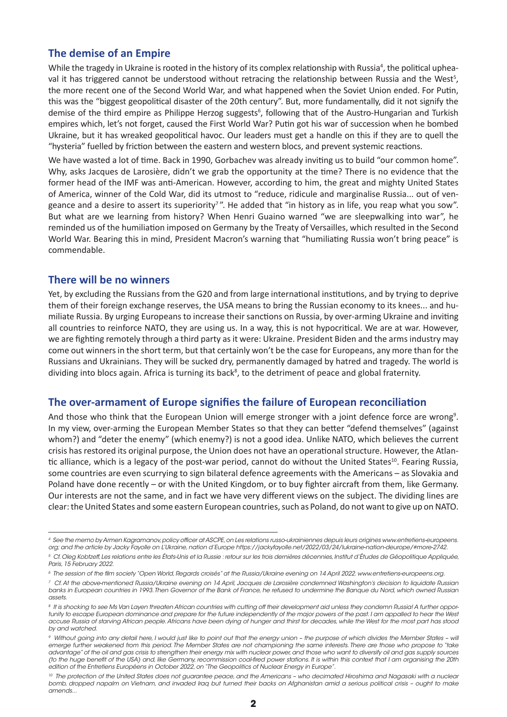#### **The demise of an Empire**

While the tragedy in Ukraine is rooted in the history of its complex relationship with Russia<sup>4</sup>, the political upheaval it has triggered cannot be understood without retracing the relationship between Russia and the West<sup>5</sup>, the more recent one of the Second World War, and what happened when the Soviet Union ended. For Putin, this was the "biggest geopolitical disaster of the 20th century". But, more fundamentally, did it not signify the demise of the third empire as Philippe Herzog suggests<sup>6</sup>, following that of the Austro-Hungarian and Turkish empires which, let's not forget, caused the First World War? Putin got his war of succession when he bombed Ukraine, but it has wreaked geopolitical havoc. Our leaders must get a handle on this if they are to quell the "hysteria" fuelled by friction between the eastern and western blocs, and prevent systemic reactions.

We have wasted a lot of time. Back in 1990, Gorbachev was already inviting us to build "our common home". Why, asks Jacques de Larosière, didn't we grab the opportunity at the time? There is no evidence that the former head of the IMF was anti-American. However, according to him, the great and mighty United States of America, winner of the Cold War, did its utmost to "reduce, ridicule and marginalise Russia... out of vengeance and a desire to assert its superiority<sup>7</sup>". He added that "in history as in life, you reap what you sow". But what are we learning from history? When Henri Guaino warned "we are sleepwalking into war", he reminded us of the humiliation imposed on Germany by the Treaty of Versailles, which resulted in the Second World War. Bearing this in mind, President Macron's warning that "humiliating Russia won't bring peace" is commendable.

#### **There will be no winners**

Yet, by excluding the Russians from the G20 and from large international institutions, and by trying to deprive them of their foreign exchange reserves, the USA means to bring the Russian economy to its knees... and humiliate Russia. By urging Europeans to increase their sanctions on Russia, by over-arming Ukraine and inviting all countries to reinforce NATO, they are using us. In a way, this is not hypocritical. We are at war. However, we are fighting remotely through a third party as it were: Ukraine. President Biden and the arms industry may come out winners in the short term, but that certainly won't be the case for Europeans, any more than for the Russians and Ukrainians. They will be sucked dry, permanently damaged by hatred and tragedy. The world is dividing into blocs again. Africa is turning its back<sup>8</sup>, to the detriment of peace and global fraternity.

#### **The over-armament of Europe signifies the failure of European reconciliation**

And those who think that the European Union will emerge stronger with a joint defence force are wrong<sup>9</sup>. In my view, over-arming the European Member States so that they can better "defend themselves" (against whom?) and "deter the enemy" (which enemy?) is not a good idea. Unlike NATO, which believes the current crisis has restored its original purpose, the Union does not have an operational structure. However, the Atlantic alliance, which is a legacy of the post-war period, cannot do without the United States<sup>10</sup>. Fearing Russia, some countries are even scurrying to sign bilateral defence agreements with the Americans – as Slovakia and Poland have done recently – or with the United Kingdom, or to buy fighter aircraft from them, like Germany. Our interests are not the same, and in fact we have very different views on the subject. The dividing lines are clear: the United States and some eastern European countries, such as Poland, do not want to give up on NATO.

*<sup>4</sup> See the memo by Armen Kagramanov, policy officer at ASCPE, on Les relations russo-ukrainiennes depuis leurs origines www.entretiens-europeens. org; and the article by Jacky Fayolle on L'Ukraine, nation d'Europe https://jackyfayolle.net/2022/03/24/lukraine-nation-deurope/#more-2742.*

*<sup>5</sup> Cf. Oleg Kobtzeff, Les relations entre les États-Unis et la Russie : retour sur les trois dernières décennies, Institut d'Études de Géopolitique Appliquée, Paris, 15 February 2022.*

*<sup>6</sup> The session of the film society "Open World, Regards croisés" at the Russia/Ukraine evening on 14 April 2022. www.entretiens-europeens.org.*

*<sup>7</sup> Cf. At the above-mentioned Russia/Ukraine evening on 14 April, Jacques de Larosière condemned Washington's decision to liquidate Russian banks in European countries in 1993. Then Governor of the Bank of France, he refused to undermine the Banque du Nord, which owned Russian assets.*

*<sup>8</sup> It is shocking to see Ms Van Layen threaten African countries with cutting off their development aid unless they condemn Russia! A further opportunity to escape European dominance and prepare for the future independently of the major powers of the past. I am appalled to hear the West accuse Russia of starving African people. Africans have been dying of hunger and thirst for decades, while the West for the most part has stood by and watched.*

*<sup>9</sup> Without going into any detail here, I would just like to point out that the energy union – the purpose of which divides the Member States – will emerge further weakened from this period. The Member States are not championing the same interests. There are those who propose to "take advantage" of the oil and gas crisis to strengthen their energy mix with nuclear power, and those who want to diversify oil and gas supply sources (to the huge benefit of the USA) and, like Germany, recommission coal-fired power stations. It is within this context that I am organising the 20th edition of the Entretiens Européens in October 2022, on "The Geopolitics of Nuclear Energy in Europe".*

<sup>&</sup>lt;sup>10</sup> The protection of the United States does not guarantee peace, and the Americans - who decimated Hiroshima and Nagasaki with a nuclear *bomb, dropped napalm on Vietnam, and invaded Iraq but turned their backs on Afghanistan amid a serious political crisis – ought to make amends...*